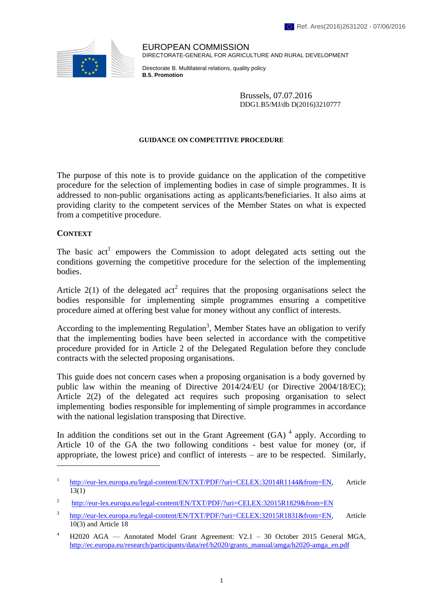

EUROPEAN COMMISSION DIRECTORATE-GENERAL FOR AGRICULTURE AND RURAL DEVELOPMENT

Directorate B. Multilateral relations, quality policy **B.5. Promotion**

> Brussels, 07.07.2016 DDG1.B5/MJ/db D(2016)3210777

#### **GUIDANCE ON COMPETITIVE PROCEDURE**

The purpose of this note is to provide guidance on the application of the competitive procedure for the selection of implementing bodies in case of simple programmes. It is addressed to non-public organisations acting as applicants/beneficiaries. It also aims at providing clarity to the competent services of the Member States on what is expected from a competitive procedure.

### **CONTEXT**

 $\overline{a}$ 

The basic  $act<sup>1</sup>$  empowers the Commission to adopt delegated acts setting out the conditions governing the competitive procedure for the selection of the implementing bodies.

Article 2(1) of the delegated act<sup>2</sup> requires that the proposing organisations select the bodies responsible for implementing simple programmes ensuring a competitive procedure aimed at offering best value for money without any conflict of interests.

According to the implementing Regulation<sup>3</sup>, Member States have an obligation to verify that the implementing bodies have been selected in accordance with the competitive procedure provided for in Article 2 of the Delegated Regulation before they conclude contracts with the selected proposing organisations.

This guide does not concern cases when a proposing organisation is a body governed by public law within the meaning of Directive 2014/24/EU (or Directive 2004/18/EC); Article 2(2) of the delegated act requires such proposing organisation to select implementing bodies responsible for implementing of simple programmes in accordance with the national legislation transposing that Directive.

In addition the conditions set out in the Grant Agreement  $(GA)$ <sup>4</sup> apply. According to Article 10 of the GA the two following conditions - best value for money (or, if appropriate, the lowest price) and conflict of interests – are to be respected. Similarly,

<sup>1</sup> [http://eur-lex.europa.eu/legal-content/EN/TXT/PDF/?uri=CELEX:32014R1144&from=EN,](http://eur-lex.europa.eu/legal-content/EN/TXT/PDF/?uri=CELEX:32014R1144&from=EN) Article 13(1)

<sup>2</sup> <http://eur-lex.europa.eu/legal-content/EN/TXT/PDF/?uri=CELEX:32015R1829&from=EN>

<sup>3</sup> [http://eur-lex.europa.eu/legal-content/EN/TXT/PDF/?uri=CELEX:32015R1831&from=EN,](http://eur-lex.europa.eu/legal-content/EN/TXT/PDF/?uri=CELEX:32015R1831&from=EN) Article 10(3) and Article 18

<sup>4</sup> H2020 AGA — Annotated Model Grant Agreement: V2.1 – 30 October 2015 General MGA, [http://ec.europa.eu/research/participants/data/ref/h2020/grants\\_manual/amga/h2020-amga\\_en.pdf](http://ec.europa.eu/research/participants/data/ref/h2020/grants_manual/amga/h2020-amga_en.pdf)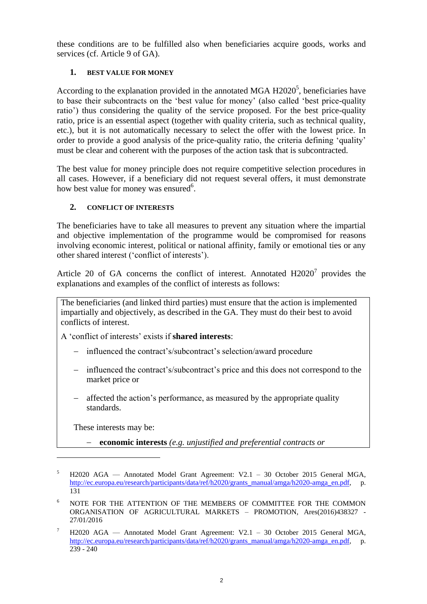these conditions are to be fulfilled also when beneficiaries acquire goods, works and services (cf. Article 9 of GA).

# **1. BEST VALUE FOR MONEY**

According to the explanation provided in the annotated MGA  $H2020^5$ , beneficiaries have to base their subcontracts on the 'best value for money' (also called 'best price-quality ratio') thus considering the quality of the service proposed. For the best price-quality ratio, price is an essential aspect (together with quality criteria, such as technical quality, etc.), but it is not automatically necessary to select the offer with the lowest price. In order to provide a good analysis of the price-quality ratio, the criteria defining 'quality' must be clear and coherent with the purposes of the action task that is subcontracted.

The best value for money principle does not require competitive selection procedures in all cases. However, if a beneficiary did not request several offers, it must demonstrate how best value for money was ensured<sup>6</sup>.

## **2. CONFLICT OF INTERESTS**

The beneficiaries have to take all measures to prevent any situation where the impartial and objective implementation of the programme would be compromised for reasons involving economic interest, political or national affinity, family or emotional ties or any other shared interest ('conflict of interests').

Article 20 of GA concerns the conflict of interest. Annotated  $H2020<sup>7</sup>$  provides the explanations and examples of the conflict of interests as follows:

The beneficiaries (and linked third parties) must ensure that the action is implemented impartially and objectively, as described in the GA. They must do their best to avoid conflicts of interest.

A 'conflict of interests' exists if **shared interests**:

- influenced the contract's/subcontract's selection/award procedure
- influenced the contract's/subcontract's price and this does not correspond to the market price or
- affected the action's performance, as measured by the appropriate quality standards.

These interests may be:

 $\overline{a}$ 

**economic interests** *(e.g. unjustified and preferential contracts or* 

<sup>5</sup> H2020 AGA — Annotated Model Grant Agreement: V2.1 – 30 October 2015 General MGA, [http://ec.europa.eu/research/participants/data/ref/h2020/grants\\_manual/amga/h2020-amga\\_en.pdf,](http://ec.europa.eu/research/participants/data/ref/h2020/grants_manual/amga/h2020-amga_en.pdf) p. 131

<sup>6</sup> NOTE FOR THE ATTENTION OF THE MEMBERS OF COMMITTEE FOR THE COMMON ORGANISATION OF AGRICULTURAL MARKETS – PROMOTION, Ares(2016)438327 - 27/01/2016

 $7$  H2020 AGA — Annotated Model Grant Agreement: V2.1 – 30 October 2015 General MGA, [http://ec.europa.eu/research/participants/data/ref/h2020/grants\\_manual/amga/h2020-amga\\_en.pdf,](http://ec.europa.eu/research/participants/data/ref/h2020/grants_manual/amga/h2020-amga_en.pdf) p. 239 - 240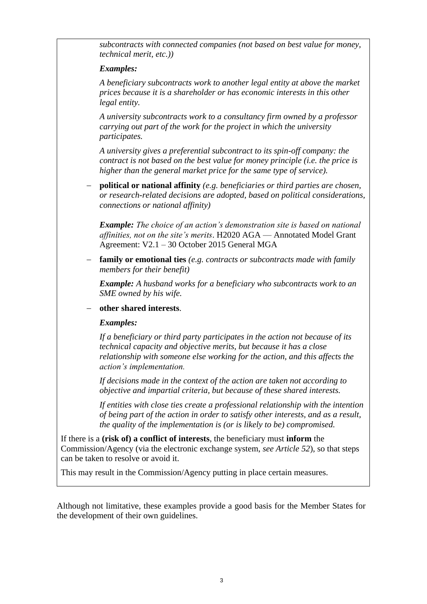*subcontracts with connected companies (not based on best value for money, technical merit, etc.))* 

## *Examples:*

*A beneficiary subcontracts work to another legal entity at above the market prices because it is a shareholder or has economic interests in this other legal entity.* 

*A university subcontracts work to a consultancy firm owned by a professor carrying out part of the work for the project in which the university participates.* 

*A university gives a preferential subcontract to its spin-off company: the contract is not based on the best value for money principle (i.e. the price is higher than the general market price for the same type of service).* 

 **political or national affinity** *(e.g. beneficiaries or third parties are chosen, or research-related decisions are adopted, based on political considerations, connections or national affinity)* 

*Example: The choice of an action's demonstration site is based on national affinities, not on the site's merits*. H2020 AGA — Annotated Model Grant Agreement: V2.1 – 30 October 2015 General MGA

 **family or emotional ties** *(e.g. contracts or subcontracts made with family members for their benefit)* 

*Example: A husband works for a beneficiary who subcontracts work to an SME owned by his wife.* 

### **other shared interests**.

### *Examples:*

*If a beneficiary or third party participates in the action not because of its technical capacity and objective merits, but because it has a close relationship with someone else working for the action, and this affects the action's implementation.* 

*If decisions made in the context of the action are taken not according to objective and impartial criteria, but because of these shared interests.* 

*If entities with close ties create a professional relationship with the intention of being part of the action in order to satisfy other interests, and as a result, the quality of the implementation is (or is likely to be) compromised.* 

If there is a **(risk of) a conflict of interests**, the beneficiary must **inform** the Commission/Agency (via the electronic exchange system, *see Article 52*), so that steps can be taken to resolve or avoid it.

This may result in the Commission/Agency putting in place certain measures.

Although not limitative, these examples provide a good basis for the Member States for the development of their own guidelines.